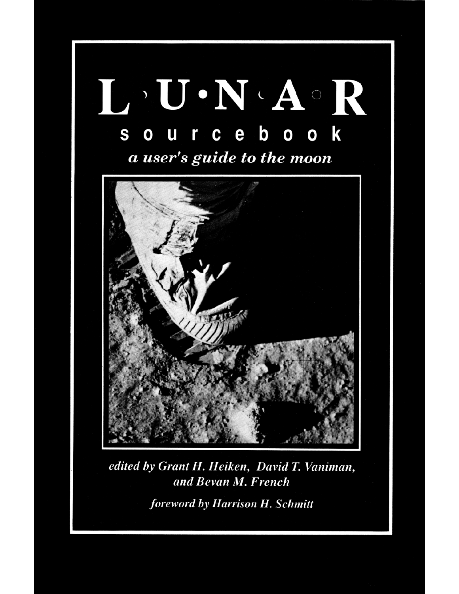

edited by Grant H. Heiken, David T. Vaniman, and Bevan M. French foreword by Harrison H. Schmitt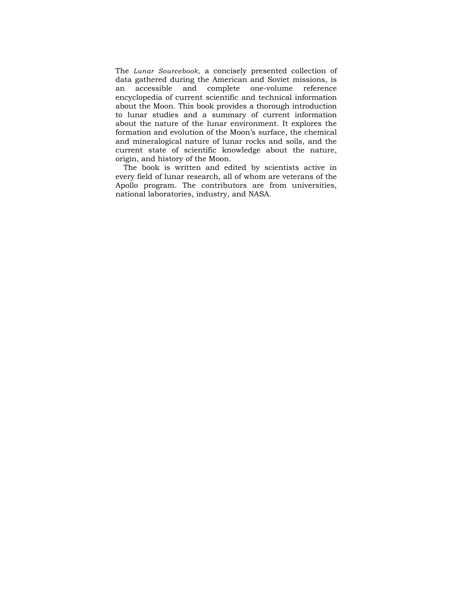The *Lunar Sourcebook,* a concisely presented collection of data gathered during the American and Soviet missions, is an accessible and complete one-volume reference encyclopedia of current scientific and technical information about the Moon. This book provides a thorough introduction to lunar studies and a summary of current information about the nature of the lunar environment. It explores the formation and evolution of the Moon's surface, the chemical and mineralogical nature of lunar rocks and soils, and the current state of scientific knowledge about the nature, origin, and history of the Moon.

The book is written and edited by scientists active in every field of lunar research, all of whom are veterans of the Apollo program. The contributors are from universities, national laboratories, industry, and NASA.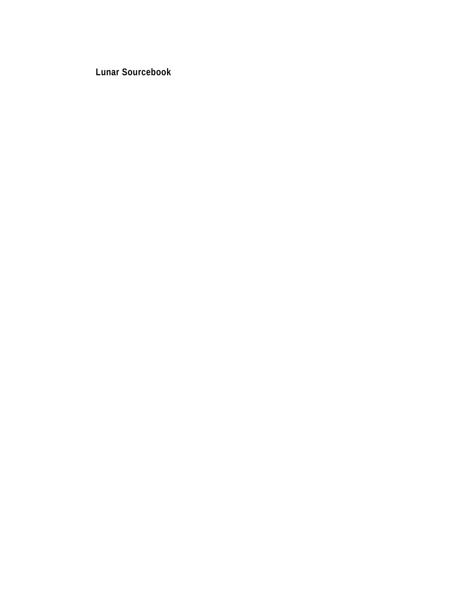**Lunar Sourcebook**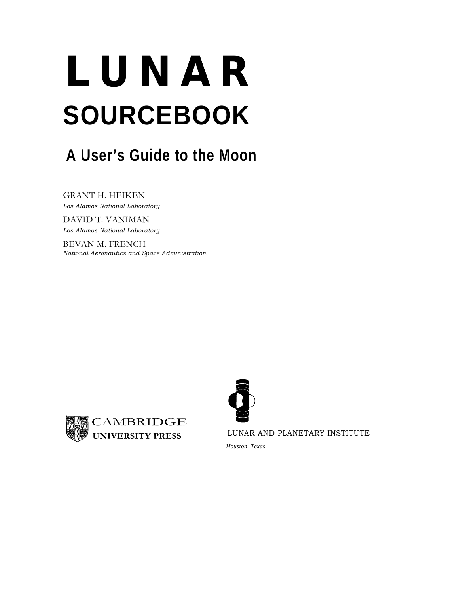# **LUNAR SOURCEBOOK**

## **A User's Guide to the Moon**

GRANT H. HEIKEN *Los Alamos National Laboratory* 

DAVID T. VANIMAN *Los Alamos National Laboratory* 

BEVAN M. FRENCH *National Aeronautics and Space Administration* 





LUNAR AND PLANETARY INSTITUTE

*Houston, Texas*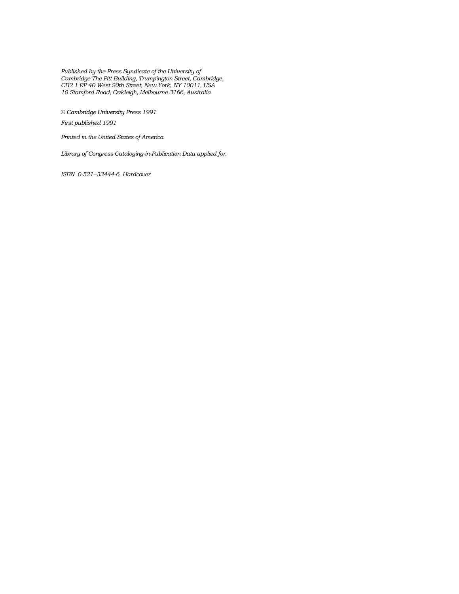*Published by the Press Syndicate of the University of Cambridge The Pitt Building, Trumpington Street, Cambridge, CB2 1 RP 40 West 20th Street, New York, NY 10011, USA 10 Stamford Road, Oakleigh, Melbourne 3166, Australia* 

*© Cambridge University Press 1991 First published 1991* 

*Printed in the United States of America* 

*Library of Congress Cataloging-in-Publication Data applied for.* 

*ISBN 0-521--33444-6 Hardcover*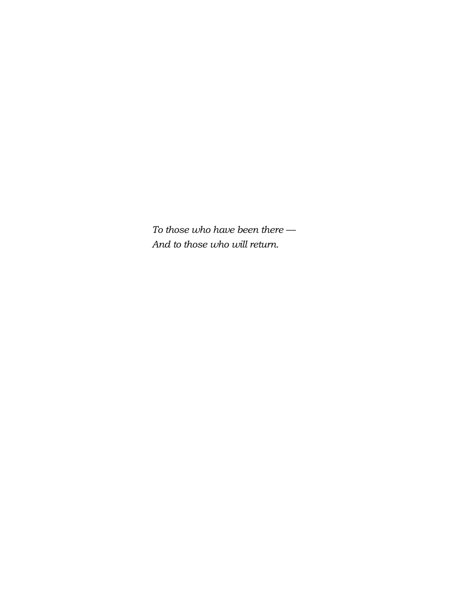*To those who have been there — And to those who will return.*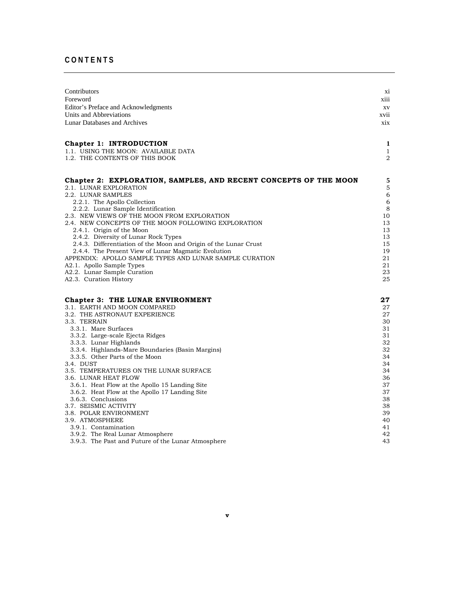## **CONTENTS**

| Contributors                                                                                             | xi          |
|----------------------------------------------------------------------------------------------------------|-------------|
| Foreword                                                                                                 | xiii        |
| Editor's Preface and Acknowledgments                                                                     | XV          |
| Units and Abbreviations                                                                                  | xvii        |
| Lunar Databases and Archives                                                                             | xix         |
| Chapter 1: INTRODUCTION                                                                                  | 1           |
| 1.1. USING THE MOON: AVAILABLE DATA                                                                      | 1           |
| 1.2. THE CONTENTS OF THIS BOOK                                                                           | 2           |
| Chapter 2: EXPLORATION, SAMPLES, AND RECENT CONCEPTS OF THE MOON                                         | 5           |
| 2.1. LUNAR EXPLORATION                                                                                   | $\mathbf 5$ |
| 2.2. LUNAR SAMPLES                                                                                       | 6           |
| 2.2.1. The Apollo Collection                                                                             | 6           |
| 2.2.2. Lunar Sample Identification                                                                       | 8           |
| 2.3. NEW VIEWS OF THE MOON FROM EXPLORATION                                                              | 10          |
| 2.4. NEW CONCEPTS OF THE MOON FOLLOWING EXPLORATION                                                      | 13          |
| 2.4.1. Origin of the Moon                                                                                | 13          |
| 2.4.2. Diversity of Lunar Rock Types<br>2.4.3. Differentiation of the Moon and Origin of the Lunar Crust | 13<br>15    |
| 2.4.4. The Present View of Lunar Magmatic Evolution                                                      | 19          |
| APPENDIX: APOLLO SAMPLE TYPES AND LUNAR SAMPLE CURATION                                                  | 21          |
| A2.1.Apollo Sample Types                                                                                 | 21          |
| A2.2. Lunar Sample Curation                                                                              | 23          |
| A2.3. Curation History                                                                                   | 25          |
| Chapter 3: THE LUNAR ENVIRONMENT                                                                         | 27          |
| 3.1. EARTH AND MOON COMPARED                                                                             | 27          |
| 3.2. THE ASTRONAUT EXPERIENCE                                                                            | 27          |
| 3.3. TERRAIN                                                                                             | 30          |
| 3.3.1. Mare Surfaces                                                                                     | 31          |
| 3.3.2. Large-scale Ejecta Ridges                                                                         | 31          |
| 3.3.3. Lunar Highlands                                                                                   | 32          |
| 3.3.4. Highlands-Mare Boundaries (Basin Margins)                                                         | 32<br>34    |
| 3.3.5. Other Parts of the Moon                                                                           | 34          |
| 3.4. DUST<br>3.5. TEMPERATURES ON THE LUNAR SURFACE                                                      | 34          |
| 3.6. LUNAR HEAT FLOW                                                                                     | 36          |
| 3.6.1. Heat Flow at the Apollo 15 Landing Site                                                           | 37          |
| 3.6.2. Heat Flow at the Apollo 17 Landing Site                                                           | 37          |
| 3.6.3. Conclusions                                                                                       | 38          |
| 3.7. SEISMIC ACTIVITY                                                                                    | 38          |
| 3.8. POLAR ENVIRONMENT                                                                                   | 39          |
| 3.9. ATMOSPHERE                                                                                          | 40          |
| 3.9.1. Contamination                                                                                     | 41          |
| 3.9.2. The Real Lunar Atmosphere                                                                         | 42          |
| 3.9.3. The Past and Future of the Lunar Atmosphere                                                       | 43          |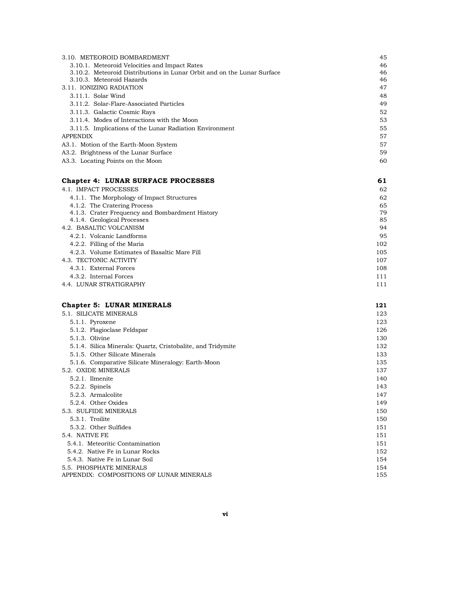| 3.10. METEOROID BOMBARDMENT                                             | 45 |
|-------------------------------------------------------------------------|----|
| 3.10.1. Meteoroid Velocities and Impact Rates                           | 46 |
| 3.10.2. Meteoroid Distributions in Lunar Orbit and on the Lunar Surface | 46 |
| 3.10.3. Meteoroid Hazards                                               | 46 |
| 3.11. IONIZING RADIATION                                                | 47 |
| 3.11.1. Solar Wind                                                      | 48 |
| 3.11.2. Solar-Flare-Associated Particles                                | 49 |
| 3.11.3. Galactic Cosmic Rays                                            | 52 |
| 3.11.4. Modes of Interactions with the Moon                             | 53 |
| 3.11.5. Implications of the Lunar Radiation Environment                 | 55 |
| <b>APPENDIX</b>                                                         | 57 |
| A3.1. Motion of the Earth-Moon System                                   | 57 |
| A3.2. Brightness of the Lunar Surface                                   | 59 |
| A3.3. Locating Points on the Moon                                       | 60 |
|                                                                         |    |

## **Chapter 4: LUNAR SURFACE PROCESSES** 61

| 4.1. IMPACT PROCESSES                           | 62  |
|-------------------------------------------------|-----|
| 4.1.1. The Morphology of Impact Structures      | 62  |
| 4.1.2. The Cratering Process                    | 65  |
| 4.1.3. Crater Frequency and Bombardment History | 79  |
| 4.1.4. Geological Processes                     | 85  |
| 4.2. BASALTIC VOLCANISM                         | 94  |
| 4.2.1. Volcanic Landforms                       | 95  |
| 4.2.2. Filling of the Maria                     | 102 |
| 4.2.3. Volume Estimates of Basaltic Mare Fill   | 105 |
| 4.3. TECTONIC ACTIVITY                          | 107 |
| 4.3.1. External Forces                          | 108 |
| 4.3.2. Internal Forces                          | 111 |
| 4.4.  LUNAR STRATIGRAPHY                        | 111 |
|                                                 |     |

| <b>Chapter 5: LUNAR MINERALS</b>                            | 121 |
|-------------------------------------------------------------|-----|
| 5.1. SILICATE MINERALS                                      | 123 |
| 5.1.1. Pyroxene                                             | 123 |
| 5.1.2. Plagioclase Feldspar                                 | 126 |
| 5.1.3. Olivine                                              | 130 |
| 5.1.4. Silica Minerals: Quartz, Cristobalite, and Tridymite | 132 |
| 5.1.5. Other Silicate Minerals                              | 133 |
| 5.1.6. Comparative Silicate Mineralogy: Earth-Moon          | 135 |
| 5.2. OXIDE MINERALS                                         | 137 |
| 5.2.1. Ilmenite                                             | 140 |
| $5.2.2.$ Spinels                                            | 143 |
| 5.2.3. Armalcolite                                          | 147 |
| 5.2.4. Other Oxides                                         | 149 |
| 5.3. SULFIDE MINERALS                                       | 150 |
| 5.3.1. Troilite                                             | 150 |
| 5.3.2. Other Sulfides                                       | 151 |
| 5.4. NATIVE FE                                              | 151 |
| 5.4.1. Meteoritic Contamination                             | 151 |
| 5.4.2. Native Fe in Lunar Rocks                             | 152 |
| 5.4.3. Native Fe in Lunar Soil                              | 154 |
| 5.5. PHOSPHATE MINERALS                                     | 154 |
| APPENDIX: COMPOSITIONS OF LUNAR MINERALS                    | 155 |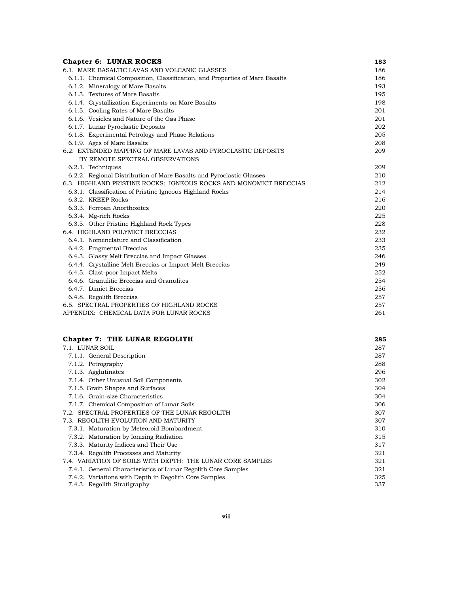| <b>Chapter 6: LUNAR ROCKS</b>                                               | 183 |
|-----------------------------------------------------------------------------|-----|
| 6.1. MARE BASALTIC LAVAS AND VOLCANIC GLASSES                               | 186 |
| 6.1.1. Chemical Composition, Classification, and Properties of Mare Basalts | 186 |
| 6.1.2. Mineralogy of Mare Basalts                                           | 193 |
| 6.1.3. Textures of Mare Basalts                                             | 195 |
| 6.1.4. Crystallization Experiments on Mare Basalts                          | 198 |
| 6.1.5. Cooling Rates of Mare Basalts                                        | 201 |
| 6.1.6. Vesicles and Nature of the Gas Phase                                 | 201 |
| 6.1.7. Lunar Pyroclastic Deposits                                           | 202 |
| 6.1.8. Experimental Petrology and Phase Relations                           | 205 |
| 6.1.9. Ages of Mare Basalts                                                 | 208 |
| 6.2. EXTENDED MAPPING OF MARE LAVAS AND PYROCLASTIC DEPOSITS                | 209 |
| BY REMOTE SPECTRAL OBSERVATIONS                                             |     |
| 6.2.1. Techniques                                                           | 209 |
| 6.2.2. Regional Distribution of Mare Basalts and Pyroclastic Glasses        | 210 |
| 6.3. HIGHLAND PRISTINE ROCKS: IGNEOUS ROCKS AND MONOMICT BRECCIAS           | 212 |
| 6.3.1. Classification of Pristine Igneous Highland Rocks                    | 214 |
| 6.3.2. KREEP Rocks                                                          | 216 |
| 6.3.3. Ferroan Anorthosites                                                 | 220 |
| 6.3.4. Mg-rich Rocks                                                        | 225 |
| 6.3.5. Other Pristine Highland Rock Types                                   | 228 |
| 6.4. HIGHLAND POLYMICT BRECCIAS                                             | 232 |
| 6.4.1. Nomenclature and Classification                                      | 233 |
| 6.4.2. Fragmental Breccias                                                  | 235 |
| 6.4.3. Glassy Melt Breccias and Impact Glasses                              | 246 |
| 6.4.4. Crystalline Melt Breccias or Impact-Melt Breccias                    | 249 |
| 6.4.5. Clast-poor Impact Melts                                              | 252 |
| 6.4.6. Granulitic Breccias and Granulites                                   | 254 |
| 6.4.7. Dimict Breccias                                                      | 256 |
| 6.4.8. Regolith Breccias                                                    | 257 |
| 6.5. SPECTRAL PROPERTIES OF HIGHLAND ROCKS                                  | 257 |
| APPENDIX: CHEMICAL DATA FOR LUNAR ROCKS                                     | 261 |
|                                                                             |     |

| Chapter 7: THE LUNAR REGOLITH                                 | 285 |
|---------------------------------------------------------------|-----|
| 7.1. LUNAR SOIL                                               | 287 |
| 7.1.1. General Description                                    | 287 |
| 7.1.2. Petrography                                            | 288 |
| 7.1.3. Agglutinates                                           | 296 |
| 7.1.4. Other Unusual Soil Components                          | 302 |
| 7.1.5. Grain Shapes and Surfaces                              | 304 |
| 7.1.6. Grain-size Characteristics                             | 304 |
| 7.1.7. Chemical Composition of Lunar Soils                    | 306 |
| 7.2. SPECTRAL PROPERTIES OF THE LUNAR REGOLITH                | 307 |
| 7.3. REGOLITH EVOLUTION AND MATURITY                          | 307 |
| 7.3.1. Maturation by Meteoroid Bombardment                    | 310 |
| 7.3.2. Maturation by Ionizing Radiation                       | 315 |
| 7.3.3. Maturity Indices and Their Use                         | 317 |
| 7.3.4. Regolith Processes and Maturity                        | 321 |
| 7.4. VARIATION OF SOILS WITH DEPTH: THE LUNAR CORE SAMPLES    | 321 |
| 7.4.1. General Characteristics of Lunar Regolith Core Samples | 321 |
| 7.4.2. Variations with Depth in Regolith Core Samples         | 325 |
| 7.4.3. Regolith Stratigraphy                                  | 337 |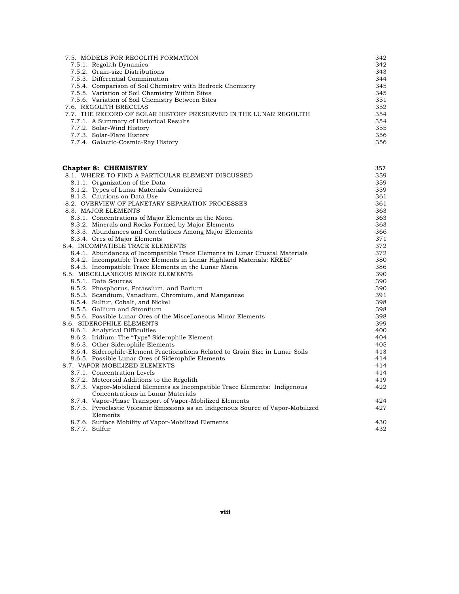| 7.5. MODELS FOR REGOLITH FORMATION                               | 342 |
|------------------------------------------------------------------|-----|
| 7.5.1. Regolith Dynamics                                         | 342 |
| 7.5.2. Grain-size Distributions                                  | 343 |
| 7.5.3. Differential Comminution                                  | 344 |
| 7.5.4. Comparison of Soil Chemistry with Bedrock Chemistry       | 345 |
| 7.5.5. Variation of Soil Chemistry Within Sites                  | 345 |
| 7.5.6. Variation of Soil Chemistry Between Sites                 | 351 |
| 7.6. REGOLITH BRECCIAS                                           | 352 |
| 7.7. THE RECORD OF SOLAR HISTORY PRESERVED IN THE LUNAR REGOLITH | 354 |
| 7.7.1. A Summary of Historical Results                           | 354 |
| 7.7.2. Solar-Wind History                                        | 355 |
| 7.7.3. Solar-Flare History                                       | 356 |
| 7.7.4. Galactic-Cosmic-Ray History                               | 356 |

| <b>Chapter 8: CHEMISTRY</b>                                                      | 357 |
|----------------------------------------------------------------------------------|-----|
| 8.1. WHERE TO FIND A PARTICULAR ELEMENT DISCUSSED                                | 359 |
| 8.1.1. Organization of the Data                                                  | 359 |
| 8.1.2. Types of Lunar Materials Considered                                       | 359 |
| 8.1.3. Cautions on Data Use                                                      | 361 |
| 8.2. OVERVIEW OF PLANETARY SEPARATION PROCESSES                                  | 361 |
| 8.3. MAJOR ELEMENTS                                                              | 363 |
| 8.3.1. Concentrations of Major Elements in the Moon                              | 363 |
| 8.3.2. Minerals and Rocks Formed by Major Elements                               | 363 |
| 8.3.3. Abundances and Correlations Among Major Elements                          | 366 |
| 8.3.4. Ores of Major Elements                                                    | 371 |
| 8.4. INCOMPATIBLE TRACE ELEMENTS                                                 | 372 |
| 8.4.1. Abundances of Incompatible Trace Elements in Lunar Crustal Materials      | 372 |
| 8.4.2. Incompatible Trace Elements in Lunar Highland Materials: KREEP            | 380 |
| 8.4.3. Incompatible Trace Elements in the Lunar Maria                            | 386 |
| 8.5. MISCELLANEOUS MINOR ELEMENTS                                                | 390 |
| 8.5.1. Data Sources                                                              | 390 |
| 8.5.2. Phosphorus, Potassium, and Barium                                         | 390 |
| 8.5.3. Scandium, Vanadium, Chromium, and Manganese                               | 391 |
| 8.5.4. Sulfur, Cobalt, and Nickel                                                | 398 |
| 8.5.5. Gallium and Strontium                                                     | 398 |
| 8.5.6. Possible Lunar Ores of the Miscellaneous Minor Elements                   | 398 |
| 8.6. SIDEROPHILE ELEMENTS                                                        | 399 |
| 8.6.1. Analytical Difficulties                                                   | 400 |
| 8.6.2. Iridium: The "Type" Siderophile Element                                   | 404 |
| 8.6.3. Other Siderophile Elements                                                | 405 |
| 8.6.4. Siderophile-Element Fractionations Related to Grain Size in Lunar Soils   | 413 |
| 8.6.5. Possible Lunar Ores of Siderophile Elements                               | 414 |
| 8.7. VAPOR-MOBILIZED ELEMENTS                                                    | 414 |
| 8.7.1. Concentration Levels                                                      | 414 |
| 8.7.2. Meteoroid Additions to the Regolith                                       | 419 |
| 8.7.3. Vapor-Mobilized Elements as Incompatible Trace Elements: Indigenous       | 422 |
| Concentrations in Lunar Materials                                                |     |
| 8.7.4. Vapor-Phase Transport of Vapor-Mobilized Elements                         | 424 |
| 8.7.5. Pyroclastic Volcanic Emissions as an Indigenous Source of Vapor-Mobilized | 427 |
| Elements                                                                         |     |
| 8.7.6. Surface Mobility of Vapor-Mobilized Elements                              | 430 |
| 8.7.7. Sulfur                                                                    | 432 |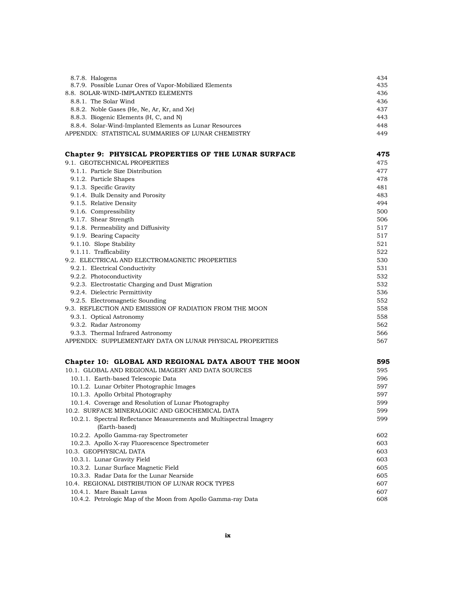| 8.7.8. Halogens                                         | 434 |
|---------------------------------------------------------|-----|
| 8.7.9. Possible Lunar Ores of Vapor-Mobilized Elements  | 435 |
| 8.8. SOLAR-WIND-IMPLANTED ELEMENTS                      | 436 |
| 8.8.1. The Solar Wind                                   | 436 |
| 8.8.2. Noble Gases (He, Ne, Ar, Kr, and Xe)             | 437 |
| 8.8.3. Biogenic Elements (H, C, and N)                  | 443 |
| 8.8.4. Solar-Wind-Implanted Elements as Lunar Resources | 448 |
| APPENDIX: STATISTICAL SUMMARIES OF LUNAR CHEMISTRY      | 449 |

| Chapter 9: PHYSICAL PROPERTIES OF THE LUNAR SURFACE       | 475 |
|-----------------------------------------------------------|-----|
| 9.1. GEOTECHNICAL PROPERTIES                              | 475 |
| 9.1.1. Particle Size Distribution                         | 477 |
| 9.1.2. Particle Shapes                                    | 478 |
| 9.1.3. Specific Gravity                                   | 481 |
| 9.1.4. Bulk Density and Porosity                          | 483 |
| 9.1.5. Relative Density                                   | 494 |
| 9.1.6. Compressibility                                    | 500 |
| 9.1.7. Shear Strength                                     | 506 |
| 9.1.8. Permeability and Diffusivity                       | 517 |
| 9.1.9. Bearing Capacity                                   | 517 |
| 9.1.10. Slope Stability                                   | 521 |
| 9.1.11. Trafficability                                    | 522 |
| 9.2. ELECTRICAL AND ELECTROMAGNETIC PROPERTIES            | 530 |
| 9.2.1. Electrical Conductivity                            | 531 |
| 9.2.2. Photoconductivity                                  | 532 |
| 9.2.3. Electrostatic Charging and Dust Migration          | 532 |
| 9.2.4. Dielectric Permittivity                            | 536 |
| 9.2.5. Electromagnetic Sounding                           | 552 |
| 9.3. REFLECTION AND EMISSION OF RADIATION FROM THE MOON   | 558 |
| 9.3.1. Optical Astronomy                                  | 558 |
| 9.3.2. Radar Astronomy                                    | 562 |
| 9.3.3. Thermal Infrared Astronomy                         | 566 |
| APPENDIX: SUPPLEMENTARY DATA ON LUNAR PHYSICAL PROPERTIES | 567 |

| Chapter 10: GLOBAL AND REGIONAL DATA ABOUT THE MOON                 | 595 |
|---------------------------------------------------------------------|-----|
| 10.1. GLOBAL AND REGIONAL IMAGERY AND DATA SOURCES                  | 595 |
| 10.1.1. Earth-based Telescopic Data                                 | 596 |
| 10.1.2. Lunar Orbiter Photographic Images                           | 597 |
| 10.1.3. Apollo Orbital Photography                                  | 597 |
| 10.1.4. Coverage and Resolution of Lunar Photography                | 599 |
| 10.2. SURFACE MINERALOGIC AND GEOCHEMICAL DATA                      | 599 |
| 10.2.1. Spectral Reflectance Measurements and Multispectral Imagery | 599 |
| (Earth-based)                                                       |     |
| 10.2.2. Apollo Gamma-ray Spectrometer                               | 602 |
| 10.2.3. Apollo X-ray Fluorescence Spectrometer                      | 603 |
| 10.3. GEOPHYSICAL DATA                                              | 603 |
| 10.3.1. Lunar Gravity Field                                         | 603 |
| 10.3.2. Lunar Surface Magnetic Field                                | 605 |
| 10.3.3. Radar Data for the Lunar Nearside                           | 605 |
| 10.4. REGIONAL DISTRIBUTION OF LUNAR ROCK TYPES                     | 607 |
| 10.4.1. Mare Basalt Lavas                                           | 607 |
| 10.4.2. Petrologic Map of the Moon from Apollo Gamma-ray Data       | 608 |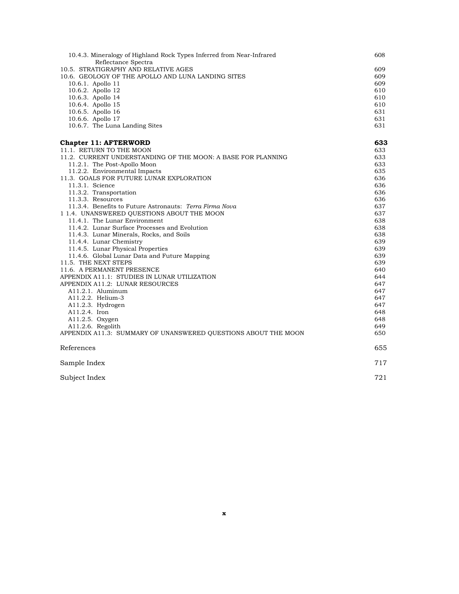| 10.4.3. Mineralogy of Highland Rock Types Inferred from Near-Infrared | 608 |
|-----------------------------------------------------------------------|-----|
| Reflectance Spectra                                                   |     |
| 10.5. STRATIGRAPHY AND RELATIVE AGES                                  | 609 |
| 10.6. GEOLOGY OF THE APOLLO AND LUNA LANDING SITES                    | 609 |
| 10.6.1. Apollo 11                                                     | 609 |
| 10.6.2. Apollo 12                                                     | 610 |
| 10.6.3. Apollo 14                                                     | 610 |
| 10.6.4. Apollo 15                                                     | 610 |
| 10.6.5. Apollo 16                                                     | 631 |
| 10.6.6. Apollo 17                                                     | 631 |
| 10.6.7. The Luna Landing Sites                                        | 631 |
| <b>Chapter 11: AFTERWORD</b>                                          | 633 |
| 11.1. RETURN TO THE MOON                                              | 633 |
| 11.2. CURRENT UNDERSTANDING OF THE MOON: A BASE FOR PLANNING          | 633 |
| 11.2.1. The Post-Apollo Moon                                          | 633 |
| 11.2.2. Environmental Impacts                                         | 635 |
| 11.3. GOALS FOR FUTURE LUNAR EXPLORATION                              | 636 |
| 11.3.1. Science                                                       | 636 |
| 11.3.2. Transportation                                                | 636 |
| 11.3.3. Resources                                                     | 636 |
| 11.3.4. Benefits to Future Astronauts: Terra Firma Nova               | 637 |
| 1 1.4. UNANSWERED QUESTIONS ABOUT THE MOON                            | 637 |
| 11.4.1. The Lunar Environment                                         | 638 |
| 11.4.2. Lunar Surface Processes and Evolution                         | 638 |
| 11.4.3. Lunar Minerals, Rocks, and Soils                              | 638 |
| 11.4.4. Lunar Chemistry                                               | 639 |
| 11.4.5. Lunar Physical Properties                                     | 639 |
| 11.4.6. Global Lunar Data and Future Mapping                          | 639 |
| 11.5. THE NEXT STEPS                                                  | 639 |
| 11.6. A PERMANENT PRESENCE                                            | 640 |
| APPENDIX A11.1: STUDIES IN LUNAR UTILIZATION                          | 644 |
| APPENDIX A11.2: LUNAR RESOURCES                                       | 647 |
| A11.2.1. Aluminum                                                     | 647 |
| A11.2.2. Helium-3                                                     | 647 |
| A11.2.3. Hydrogen                                                     | 647 |
| A11.2.4. Iron                                                         | 648 |
| A11.2.5. Oxygen                                                       | 648 |
| $A11.2.6.$ Regolith                                                   | 649 |
| APPENDIX A11.3: SUMMARY OF UNANSWERED QUESTIONS ABOUT THE MOON        | 650 |
|                                                                       |     |
| References                                                            | 655 |
| Sample Index                                                          | 717 |
| Subject Index                                                         | 721 |
|                                                                       |     |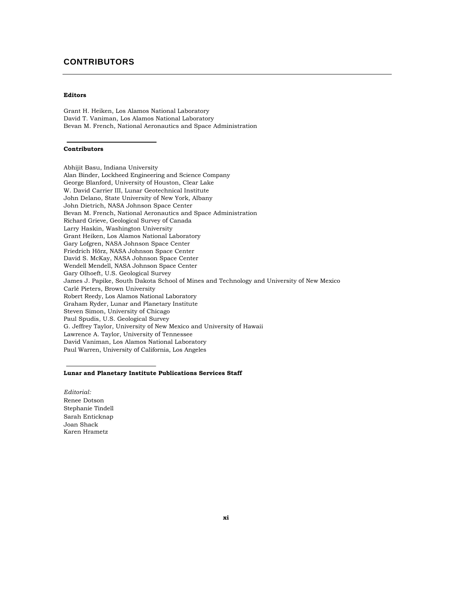## **CONTRIBUTORS**

#### **Editors**

Grant H. Heiken, Los Alamos National Laboratory David T. Vaniman, Los Alamos National Laboratory Bevan M. French, National Aeronautics and Space Administration

#### **Contributors**

Abhijit Basu, Indiana University Alan Binder, Lockheed Engineering and Science Company George Blanford, University of Houston, Clear Lake W. David Carrier III, Lunar Geotechnical Institute John Delano, State University of New York, Albany John Dietrich, NASA Johnson Space Center Bevan M. French, National Aeronautics and Space Administration Richard Grieve, Geological Survey of Canada Larry Haskin, Washington University Grant Heiken, Los Alamos National Laboratory Gary Lofgren, NASA Johnson Space Center Friedrich Hörz, NASA Johnson Space Center David S. McKay, NASA Johnson Space Center Wendell Mendell, NASA Johnson Space Center Gary Olhoeft, U.S. Geological Survey James J. Papike, South Dakota School of Mines and Technology and University of New Mexico Carlé Pieters, Brown University Robert Reedy, Los Alamos National Laboratory Graham Ryder, Lunar and Planetary Institute Steven Simon, University of Chicago Paul Spudis, U.S. Geological Survey G. Jeffrey Taylor, University of New Mexico and University of Hawaii Lawrence A. Taylor, University of Tennessee David Vaniman, Los Alamos National Laboratory Paul Warren, University of California, Los Angeles

#### **Lunar and Planetary Institute Publications Services Staff**

*Editorial:*  Renee Dotson Stephanie Tindell Sarah Enticknap Joan Shack Karen Hrametz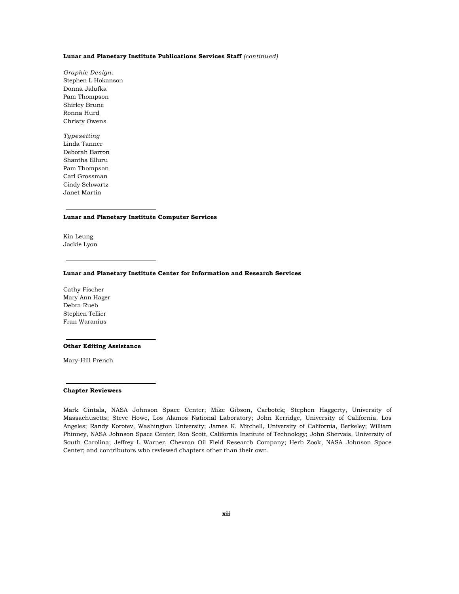#### **Lunar and Planetary Institute Publications Services Staff** *(continued)*

*Graphic Design:*  Stephen L Hokanson Donna Jalufka Pam Thompson Shirley Brune Ronna Hurd Christy Owens

*Typesetting*  Linda Tanner Deborah Barron Shantha Elluru Pam Thompson Carl Grossman Cindy Schwartz Janet Martin

#### **Lunar and Planetary Institute Computer Services**

Kin Leung Jackie Lyon

#### **Lunar and Planetary Institute Center for Information and Research Services**

Cathy Fischer Mary Ann Hager Debra Rueb Stephen Tellier Fran Waranius

#### **Other Editing Assistance**

Mary-Hill French

#### **Chapter Reviewers**

Mark Cintala, NASA Johnson Space Center; Mike Gibson, Carbotek; Stephen Haggerty, University of Massachusetts; Steve Howe, Los Alamos National Laboratory; John Kerridge, University of California, Los Angeles; Randy Korotev, Washington University; James K. Mitchell, University of California, Berkeley; William Phinney, NASA Johnson Space Center; Ron Scott, California Institute of Technology; John Shervais, University of South Carolina; Jeffrey L Warner, Chevron Oil Field Research Company; Herb Zook, NASA Johnson Space Center; and contributors who reviewed chapters other than their own.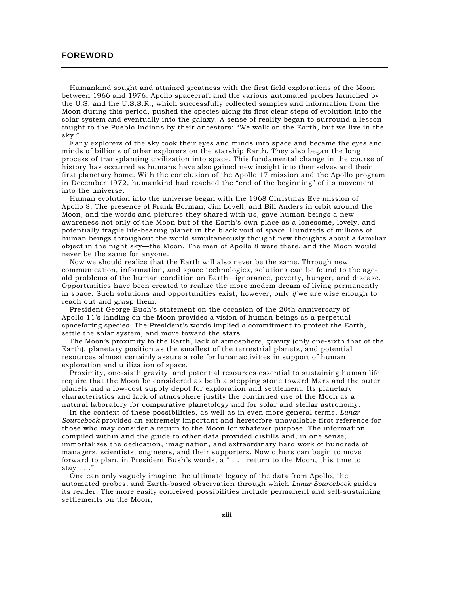#### **FOREWORD**

Humankind sought and attained greatness with the first field explorations of the Moon between 1966 and 1976. Apollo spacecraft and the various automated probes launched by the U.S. and the U.S.S.R., which successfully collected samples and information from the Moon during this period, pushed the species along its first clear steps of evolution into the solar system and eventually into the galaxy. A sense of reality began to surround a lesson taught to the Pueblo Indians by their ancestors: "We walk on the Earth, but we live in the sky."

Early explorers of the sky took their eyes and minds into space and became the eyes and minds of billions of other explorers on the starship Earth. They also began the long process of transplanting civilization into space. This fundamental change in the course of history has occurred as humans have also gained new insight into themselves and their first planetary home. With the conclusion of the Apollo 17 mission and the Apollo program in December 1972, humankind had reached the "end of the beginning" of its movement into the universe.

Human evolution into the universe began with the 1968 Christmas Eve mission of Apollo 8. The presence of Frank Borman, Jim Lovell, and Bill Anders in orbit around the Moon, and the words and pictures they shared with us, gave human beings a new awareness not only of the Moon but of the Earth's own place as a lonesome, lovely, and potentially fragile life-bearing planet in the black void of space. Hundreds of millions of human beings throughout the world simultaneously thought new thoughts about a familiar object in the night sky—the Moon. The men of Apollo 8 were there, and the Moon would never be the same for anyone.

Now we should realize that the Earth will also never be the same. Through new communication, information, and space technologies, solutions can be found to the ageold problems of the human condition on Earth—ignorance, poverty, hunger, and disease. Opportunities have been created to realize the more modem dream of living permanently in space. Such solutions and opportunities exist, however, only *if* we are wise enough to reach out and grasp them.

President George Bush's statement on the occasion of the 20th anniversary of Apollo 11's landing on the Moon provides a vision of human beings as a perpetual spacefaring species. The President's words implied a commitment to protect the Earth, settle the solar system, and move toward the stars.

The Moon's proximity to the Earth, lack of atmosphere, gravity (only one-sixth that of the Earth), planetary position as the smallest of the terrestrial planets, and potential resources almost certainly assure a role for lunar activities in support of human exploration and utilization of space.

Proximity, one-sixth gravity, and potential resources essential to sustaining human life require that the Moon be considered as both a stepping stone toward Mars and the outer planets and a low-cost supply depot for exploration and settlement. Its planetary characteristics and lack of atmosphere justify the continued use of the Moon as a natural laboratory for comparative planetology and for solar and stellar astronomy.

In the context of these possibilities, as well as in even more general terms, *Lunar Sourcebook* provides an extremely important and heretofore unavailable first reference for those who may consider a return to the Moon for whatever purpose. The information compiled within and the guide to other data provided distills and, in one sense, immortalizes the dedication, imagination, and extraordinary hard work of hundreds of managers, scientists, engineers, and their supporters. Now others can begin to move forward to plan, in President Bush's words, a " . . . return to the Moon, this time to stay . . ."

One can only vaguely imagine the ultimate legacy of the data from Apollo, the automated probes, and Earth-based observation through which *Lunar Sourcebook* guides its reader. The more easily conceived possibilities include permanent and self-sustaining settlements on the Moon,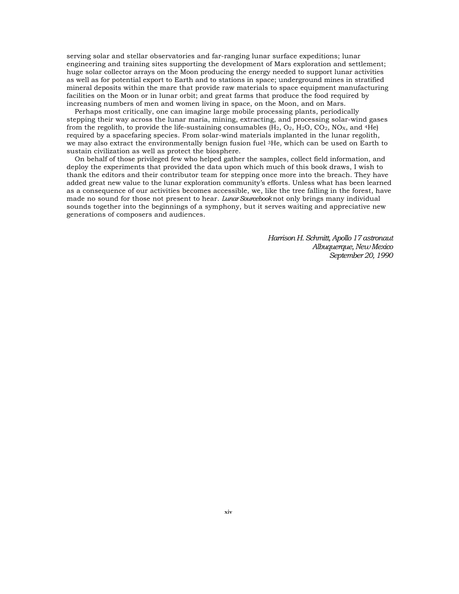serving solar and stellar observatories and far-ranging lunar surface expeditions; lunar engineering and training sites supporting the development of Mars exploration and settlement; huge solar collector arrays on the Moon producing the energy needed to support lunar activities as well as for potential export to Earth and to stations in space; underground mines in stratified mineral deposits within the mare that provide raw materials to space equipment manufacturing facilities on the Moon or in lunar orbit; and great farms that produce the food required by increasing numbers of men and women living in space, on the Moon, and on Mars.

Perhaps most critically, one can imagine large mobile processing plants, periodically stepping their way across the lunar maria, mining, extracting, and processing solar-wind gases from the regolith, to provide the life-sustaining consumables  $(H_2, O_2, H_2O, CO_2, NOx, and <sup>4</sup>He)$ required by a spacefaring species. From solar-wind materials implanted in the lunar regolith, we may also extract the environmentally benign fusion fuel 3He, which can be used on Earth to sustain civilization as well as protect the biosphere.

On behalf of those privileged few who helped gather the samples, collect field information, and deploy the experiments that provided the data upon which much of this book draws, I wish to thank the editors and their contributor team for stepping once more into the breach. They have added great new value to the lunar exploration community's efforts. Unless what has been learned as a consequence of our activities becomes accessible, we, like the tree falling in the forest, have made no sound for those not present to hear. *Lunar Sourcebook* not only brings many individual sounds together into the beginnings of a symphony, but it serves waiting and appreciative new generations of composers and audiences.

> *Harrison H. Schmitt, Apollo 17 astronaut Albuquerque, New Mexico September 20, 1990*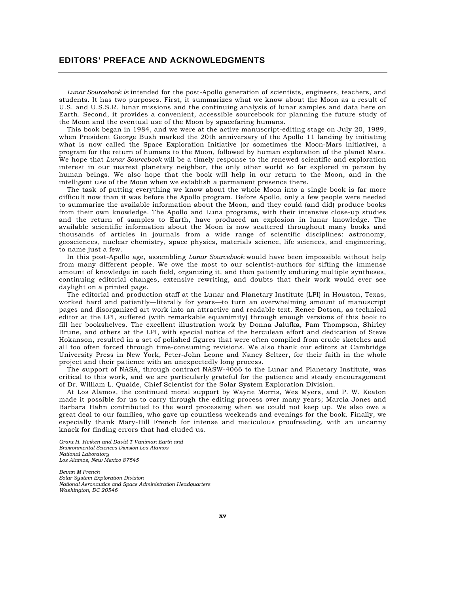## **EDITORS' PREFACE AND ACKNOWLEDGMENTS**

*Lunar Sourcebook is* intended for the post-Apollo generation of scientists, engineers, teachers, and students. It has two purposes. First, it summarizes what we know about the Moon as a result of U.S. and U.S.S.R. lunar missions and the continuing analysis of lunar samples and data here on Earth. Second, it provides a convenient, accessible sourcebook for planning the future study of the Moon and the eventual use of the Moon by spacefaring humans.

This book began in 1984, and we were at the active manuscript-editing stage on July 20, 1989, when President George Bush marked the 20th anniversary of the Apollo 11 landing by initiating what is now called the Space Exploration Initiative (or sometimes the Moon-Mars initiative), a program for the return of humans to the Moon, followed by human exploration of the planet Mars. We hope that *Lunar Sourcebook* will be a timely response to the renewed scientific and exploration interest in our nearest planetary neighbor, the only other world so far explored in person by human beings. We also hope that the book will help in our return to the Moon, and in the intelligent use of the Moon when we establish a permanent presence there.

The task of putting everything we know about the whole Moon into a single book is far more difficult now than it was before the Apollo program. Before Apollo, only a few people were needed to summarize the available information about the Moon, and they could (and did) produce books from their own knowledge. The Apollo and Luna programs, with their intensive close-up studies and the return of samples to Earth, have produced an explosion in lunar knowledge. The available scientific information about the Moon is now scattered throughout many books and thousands of articles in journals from a wide range of scientific disciplines: astronomy, geosciences, nuclear chemistry, space physics, materials science, life sciences, and engineering, to name just a few.

In this post-Apollo age, assembling *Lunar Sourcebook* would have been impossible without help from many different people. We owe the most to our scientist-authors for sifting the immense amount of knowledge in each field, organizing it, and then patiently enduring multiple syntheses, continuing editorial changes, extensive rewriting, and doubts that their work would ever see daylight on a printed page.

The editorial and production staff at the Lunar and Planetary Institute (LPI) in Houston, Texas, worked hard and patiently—literally for years—to turn an overwhelming amount of manuscript pages and disorganized art work into an attractive and readable text. Renee Dotson, as technical editor at the LPI, suffered (with remarkable equanimity) through enough versions of this book to fill her bookshelves. The excellent illustration work by Donna Jalufka, Pam Thompson, Shirley Brune, and others at the LPI, with special notice of the herculean effort and dedication of Steve Hokanson, resulted in a set of polished figures that were often compiled from crude sketches and all too often forced through time-consuming revisions. We also thank our editors at Cambridge University Press in New York, Peter-John Leone and Nancy Seltzer, for their faith in the whole project and their patience with an unexpectedly long process.

The support of NASA, through contract NASW-4066 to the Lunar and Planetary Institute, was critical to this work, and we are particularly grateful for the patience and steady encouragement of Dr. William L. Quaide, Chief Scientist for the Solar System Exploration Division.

At Los Alamos, the continued moral support by Wayne Morris, Wes Myers, and P. W. Keaton made it possible for us to carry through the editing process over many years; Marcia Jones and Barbara Hahn contributed to the word processing when we could not keep up. We also owe a great deal to our families, who gave up countless weekends and evenings for the book. Finally, we especially thank Mary-Hill French for intense and meticulous proofreading, with an uncanny knack for finding errors that had eluded us.

*Grant H. Heiken and David T Vaniman Earth and Environmental Sciences Division Los Alamos National Laboratory Los Alamos, New Mexico 87545* 

*Bevan M French Solar System Exploration Division National Aeronautics and Space Administration Headquarters Washington, DC 20546*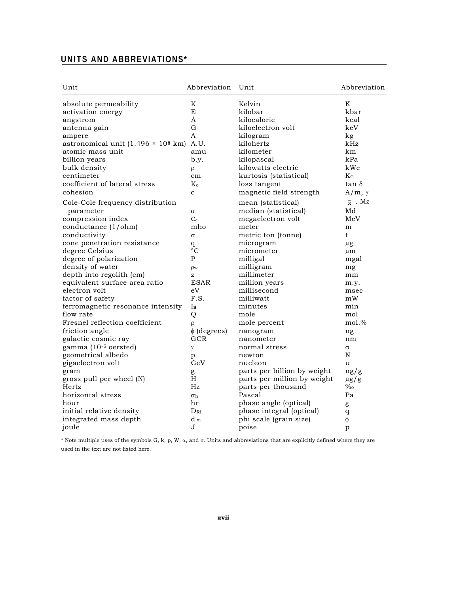## **UNITS AND ABBREVIATIONS\***

| Unit                                               | Abbreviation     | Unit                        | Abbreviation                 |
|----------------------------------------------------|------------------|-----------------------------|------------------------------|
| absolute permeability                              | K                | Kelvin                      | K                            |
| activation energy                                  | E                | kilobar                     | kbar                         |
| angstrom                                           | Å                | kilocalorie                 | kcal                         |
| antenna gain                                       | G                | kiloelectron volt           | keV                          |
| ampere                                             | A                | kilogram                    | kg                           |
| astronomical unit $(1.496 \times 10^8 \text{ km})$ | A.U.             | kilohertz                   | kHz                          |
| atomic mass unit                                   | amu              | kilometer                   | km                           |
| billion years                                      | b.y.             | kilopascal                  | kPa                          |
| bulk density                                       | ρ                | kilowatts electric          | kWe                          |
| centimeter                                         | cm               | kurtosis (statistical)      | $K_G$                        |
| coefficient of lateral stress                      | $\rm K_{o}$      | loss tangent                | $tan \delta$                 |
| cohesion                                           | $\mathbf c$      | magnetic field strength     | $A/m, \gamma$                |
| Cole-Cole frequency distribution                   |                  | mean (statistical)          | $\overline{x}$ , $\text{Mz}$ |
| parameter                                          | α                | median (statistical)        | Md                           |
| compression index                                  | $C_{c}$          | megaelectron volt           | MeV                          |
| conductance $(1/ohm)$                              | mho              | meter                       | m                            |
| conductivity                                       | $\sigma$         | metric ton (tonne)          | t                            |
| cone penetration resistance                        | q                | microgram                   | $\mu$ g                      |
| degree Celsius                                     | $\rm ^{\circ}C$  | micrometer                  | $\mu$ m                      |
| degree of polarization                             | P                | milligal                    | mgal                         |
| density of water                                   | $\rho_{\rm w}$   | milligram                   | mg                           |
| depth into regolith (cm)                           | z                | millimeter                  | mm                           |
| equivalent surface area ratio                      | <b>ESAR</b>      | million years               | m.y.                         |
| electron volt                                      | eV               | millisecond                 | msec                         |
| factor of safety                                   | F.S.             | milliwatt                   | mW                           |
| ferromagnetic resonance intensity                  | Is               | minutes                     | min                          |
| flow rate                                          | Q                | mole                        | mol                          |
| Fresnel reflection coefficient                     | ρ                | mole percent                | $mol.$ %                     |
| friction angle                                     | $\phi$ (degrees) | nanogram                    | ng                           |
| galactic cosmic ray                                | GCR              | nanometer                   | nm                           |
| gamma (10-5 oersted)                               | γ                | normal stress               | $\sigma$                     |
| geometrical albedo                                 | p                | newton                      | N                            |
| gigaelectron volt                                  | GeV              | nucleon                     | u                            |
| gram                                               | g                | parts per billion by weight | ng/g                         |
| gross pull per wheel (N)                           | H                | parts per million by weight | $\mu$ g/g                    |
| Hertz                                              | Hz               | parts per thousand          | $\%$                         |
| horizontal stress                                  | $\sigma_{\rm h}$ | Pascal                      | Pa                           |
| hour                                               | hr               | phase angle (optical)       | g                            |
| initial relative density                           | $D_{\rm Ri}$     | phase integral (optical)    | $\bf q$                      |
| integrated mass depth                              | $d_m$            | phi scale (grain size)      | $\phi$                       |
| joule                                              | J                | poise                       | p                            |

\* Note multiple uses of the symbols G, k, p, W,  $\alpha$ , and  $\sigma$ . Units and abbreviations that are explicitly defined where they are used in the text are not listed here.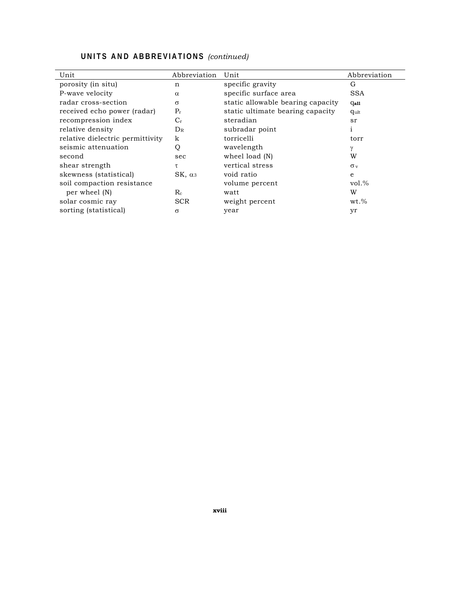| Unit                             | Abbreviation   | Unit                              | Abbreviation          |
|----------------------------------|----------------|-----------------------------------|-----------------------|
| porosity (in situ)               | n              | specific gravity                  | G                     |
| P-wave velocity                  | $\alpha$       | specific surface area             | <b>SSA</b>            |
| radar cross-section              | $\sigma$       | static allowable bearing capacity | <b>Gall</b>           |
| received echo power (radar)      | $P_r$          | static ultimate bearing capacity  | qult                  |
| recompression index              | $C_{r}$        | steradian                         | sr                    |
| relative density                 | $D_{R}$        | subradar point                    | 1                     |
| relative dielectric permittivity | k              | torricelli                        | torr                  |
| seismic attenuation              | Q              | wavelength                        | $\gamma$              |
| second                           | sec            | wheel load (N)                    | W                     |
| shear strength                   | τ              | vertical stress                   | $\sigma$ <sub>v</sub> |
| skewness (statistical)           | $SK, \alpha_3$ | void ratio                        | $\epsilon$            |
| soil compaction resistance       |                | volume percent                    | $vol.$ %              |
| per wheel (N)                    | $R_{c}$        | watt                              | W                     |
| solar cosmic ray                 | <b>SCR</b>     | weight percent                    | $wt.\%$               |
| sorting (statistical)            | σ              | year                              | yr                    |

## **UNITS AND ABBREVIATIONS** *(continued)*